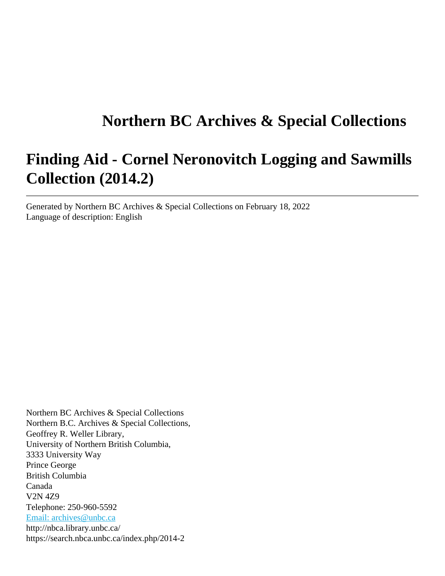# **Northern BC Archives & Special Collections**

# **Finding Aid - Cornel Neronovitch Logging and Sawmills Collection (2014.2)**

Generated by Northern BC Archives & Special Collections on February 18, 2022 Language of description: English

Northern BC Archives & Special Collections Northern B.C. Archives & Special Collections, Geoffrey R. Weller Library, University of Northern British Columbia, 3333 University Way Prince George British Columbia Canada V2N 4Z9 Telephone: 250-960-5592 [Email: archives@unbc.ca](mailto:Email: archives@unbc.ca) http://nbca.library.unbc.ca/ https://search.nbca.unbc.ca/index.php/2014-2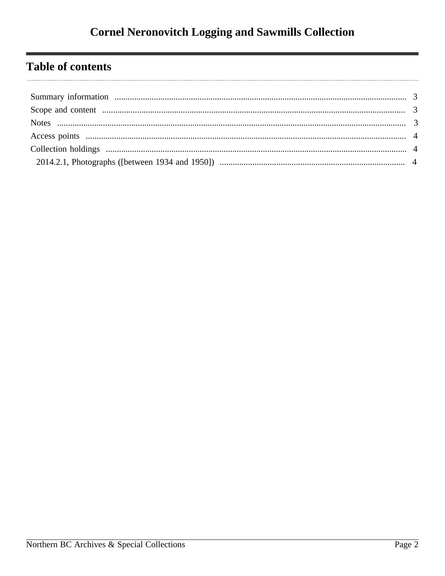# **Table of contents**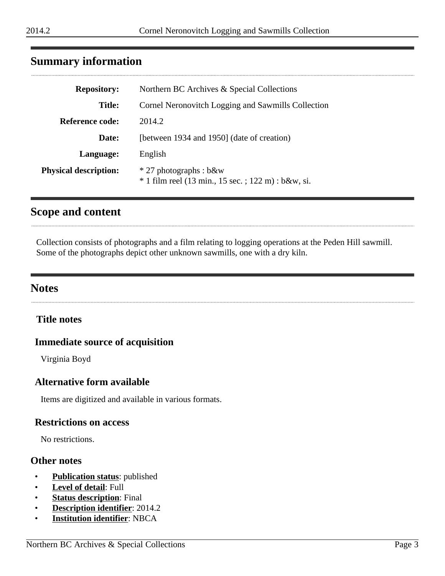# <span id="page-2-0"></span>**Summary information**

| <b>Repository:</b>           | Northern BC Archives & Special Collections                                     |
|------------------------------|--------------------------------------------------------------------------------|
| <b>Title:</b>                | Cornel Neronovitch Logging and Sawmills Collection                             |
| <b>Reference code:</b>       | 2014.2                                                                         |
| Date:                        | [between 1934 and 1950] (date of creation)                                     |
| Language:                    | English                                                                        |
| <b>Physical description:</b> | * 27 photographs : b&w<br>$*$ 1 film reel (13 min., 15 sec.; 122 m) : b&w, si. |

# <span id="page-2-1"></span>**Scope and content**

Collection consists of photographs and a film relating to logging operations at the Peden Hill sawmill. Some of the photographs depict other unknown sawmills, one with a dry kiln.

# <span id="page-2-2"></span>**Notes**

### **Title notes**

#### **Immediate source of acquisition**

Virginia Boyd

#### **Alternative form available**

Items are digitized and available in various formats.

#### **Restrictions on access**

No restrictions.

#### **Other notes**

- **Publication status**: published
- **Level of detail**: Full
- **Status description**: Final
- **Description identifier**: 2014.2
- **Institution identifier**: NBCA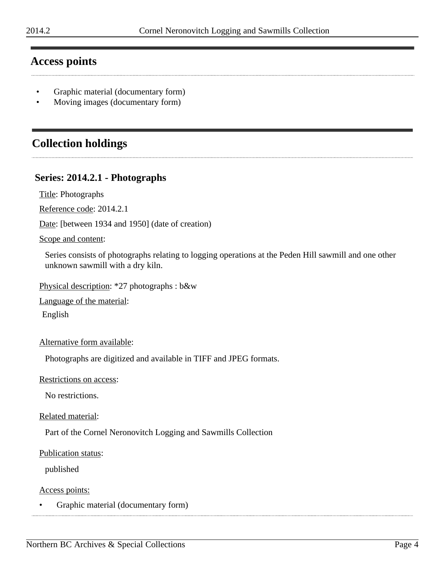# <span id="page-3-0"></span>**Access points**

- Graphic material (documentary form)
- Moving images (documentary form)

# <span id="page-3-1"></span>**Collection holdings**

# <span id="page-3-2"></span>**Series: 2014.2.1 - Photographs**

Title: Photographs

Reference code: 2014.2.1

Date: [between 1934 and 1950] (date of creation)

#### Scope and content:

Series consists of photographs relating to logging operations at the Peden Hill sawmill and one other unknown sawmill with a dry kiln.

Physical description: \*27 photographs : b&w

Language of the material:

English

Alternative form available:

Photographs are digitized and available in TIFF and JPEG formats.

Restrictions on access:

No restrictions.

Related material:

Part of the Cornel Neronovitch Logging and Sawmills Collection

#### Publication status:

published

Access points:

• Graphic material (documentary form)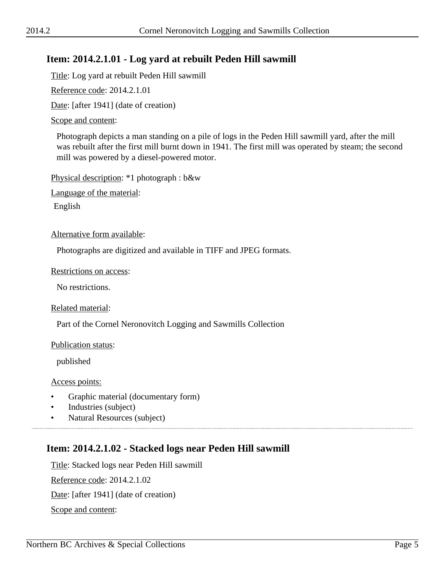# **Item: 2014.2.1.01 - Log yard at rebuilt Peden Hill sawmill**

Title: Log yard at rebuilt Peden Hill sawmill

Reference code: 2014.2.1.01

Date: [after 1941] (date of creation)

#### Scope and content:

Photograph depicts a man standing on a pile of logs in the Peden Hill sawmill yard, after the mill was rebuilt after the first mill burnt down in 1941. The first mill was operated by steam; the second mill was powered by a diesel-powered motor.

Physical description: \*1 photograph : b&w

Language of the material:

English

#### Alternative form available:

Photographs are digitized and available in TIFF and JPEG formats.

#### Restrictions on access:

No restrictions.

#### Related material:

Part of the Cornel Neronovitch Logging and Sawmills Collection

#### Publication status:

published

#### Access points:

- Graphic material (documentary form)
- Industries (subject)
- Natural Resources (subject)

# **Item: 2014.2.1.02 - Stacked logs near Peden Hill sawmill**

Title: Stacked logs near Peden Hill sawmill Reference code: 2014.2.1.02 Date: [after 1941] (date of creation) Scope and content: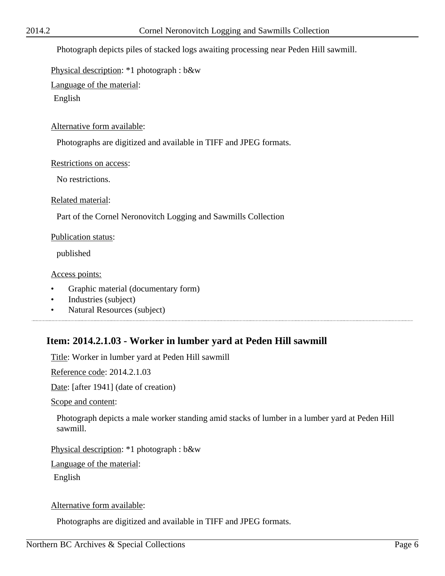Photograph depicts piles of stacked logs awaiting processing near Peden Hill sawmill.

Physical description: \*1 photograph : b&w

Language of the material:

English

Alternative form available:

Photographs are digitized and available in TIFF and JPEG formats.

Restrictions on access:

No restrictions.

Related material:

Part of the Cornel Neronovitch Logging and Sawmills Collection

Publication status:

published

Access points:

- Graphic material (documentary form)
- Industries (subject)
- Natural Resources (subject)

# **Item: 2014.2.1.03 - Worker in lumber yard at Peden Hill sawmill**

Title: Worker in lumber yard at Peden Hill sawmill

Reference code: 2014.2.1.03

Date: [after 1941] (date of creation)

Scope and content:

Photograph depicts a male worker standing amid stacks of lumber in a lumber yard at Peden Hill sawmill.

Physical description: \*1 photograph : b&w

Language of the material:

English

Alternative form available:

Photographs are digitized and available in TIFF and JPEG formats.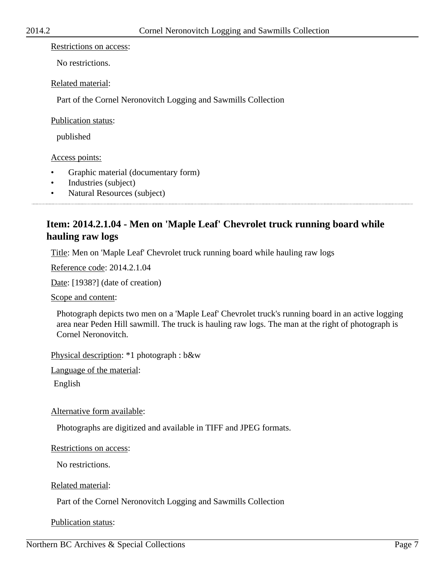#### Restrictions on access:

No restrictions.

#### Related material:

Part of the Cornel Neronovitch Logging and Sawmills Collection

#### Publication status:

published

#### Access points:

- Graphic material (documentary form)
- Industries (subject)
- Natural Resources (subject)

# **Item: 2014.2.1.04 - Men on 'Maple Leaf' Chevrolet truck running board while hauling raw logs**

Title: Men on 'Maple Leaf' Chevrolet truck running board while hauling raw logs

Reference code: 2014.2.1.04

Date: [1938?] (date of creation)

Scope and content:

Photograph depicts two men on a 'Maple Leaf' Chevrolet truck's running board in an active logging area near Peden Hill sawmill. The truck is hauling raw logs. The man at the right of photograph is Cornel Neronovitch.

Physical description: \*1 photograph : b&w

Language of the material:

English

Alternative form available:

Photographs are digitized and available in TIFF and JPEG formats.

Restrictions on access:

No restrictions.

Related material:

Part of the Cornel Neronovitch Logging and Sawmills Collection

Publication status: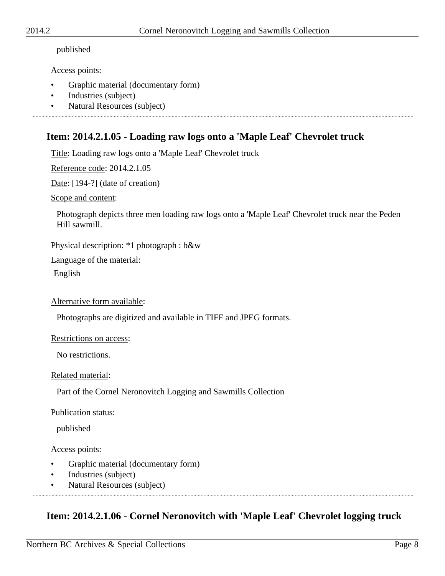#### published

#### Access points:

- Graphic material (documentary form)
- Industries (subject)
- Natural Resources (subject)

# **Item: 2014.2.1.05 - Loading raw logs onto a 'Maple Leaf' Chevrolet truck**

Title: Loading raw logs onto a 'Maple Leaf' Chevrolet truck

Reference code: 2014.2.1.05

Date: [194-?] (date of creation)

Scope and content:

Photograph depicts three men loading raw logs onto a 'Maple Leaf' Chevrolet truck near the Peden Hill sawmill.

Physical description: \*1 photograph : b&w

Language of the material:

English

Alternative form available:

Photographs are digitized and available in TIFF and JPEG formats.

#### Restrictions on access:

No restrictions.

#### Related material:

Part of the Cornel Neronovitch Logging and Sawmills Collection

#### Publication status:

published

#### Access points:

- Graphic material (documentary form)
- Industries (subject)
- Natural Resources (subject)

# **Item: 2014.2.1.06 - Cornel Neronovitch with 'Maple Leaf' Chevrolet logging truck**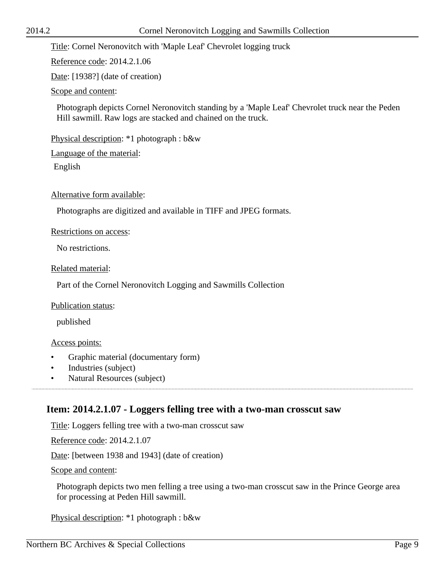Title: Cornel Neronovitch with 'Maple Leaf' Chevrolet logging truck

Reference code: 2014.2.1.06

Date: [1938?] (date of creation)

Scope and content:

Photograph depicts Cornel Neronovitch standing by a 'Maple Leaf' Chevrolet truck near the Peden Hill sawmill. Raw logs are stacked and chained on the truck.

Physical description: \*1 photograph : b&w

Language of the material:

English

Alternative form available:

Photographs are digitized and available in TIFF and JPEG formats.

Restrictions on access:

No restrictions.

Related material:

Part of the Cornel Neronovitch Logging and Sawmills Collection

Publication status:

published

#### Access points:

- Graphic material (documentary form)
- Industries (subject)
- Natural Resources (subject)

# **Item: 2014.2.1.07 - Loggers felling tree with a two-man crosscut saw**

Title: Loggers felling tree with a two-man crosscut saw

Reference code: 2014.2.1.07

Date: [between 1938 and 1943] (date of creation)

Scope and content:

Photograph depicts two men felling a tree using a two-man crosscut saw in the Prince George area for processing at Peden Hill sawmill.

Physical description: \*1 photograph : b&w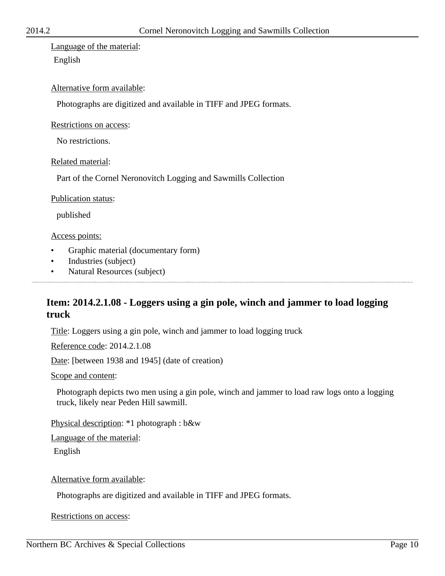Language of the material: English

#### Alternative form available:

Photographs are digitized and available in TIFF and JPEG formats.

Restrictions on access:

No restrictions.

Related material:

Part of the Cornel Neronovitch Logging and Sawmills Collection

Publication status:

published

Access points:

- Graphic material (documentary form)
- Industries (subject)
- Natural Resources (subject)

# **Item: 2014.2.1.08 - Loggers using a gin pole, winch and jammer to load logging truck**

Title: Loggers using a gin pole, winch and jammer to load logging truck

Reference code: 2014.2.1.08

Date: [between 1938 and 1945] (date of creation)

Scope and content:

Photograph depicts two men using a gin pole, winch and jammer to load raw logs onto a logging truck, likely near Peden Hill sawmill.

Physical description: \*1 photograph : b&w

Language of the material:

English

Alternative form available:

Photographs are digitized and available in TIFF and JPEG formats.

Restrictions on access: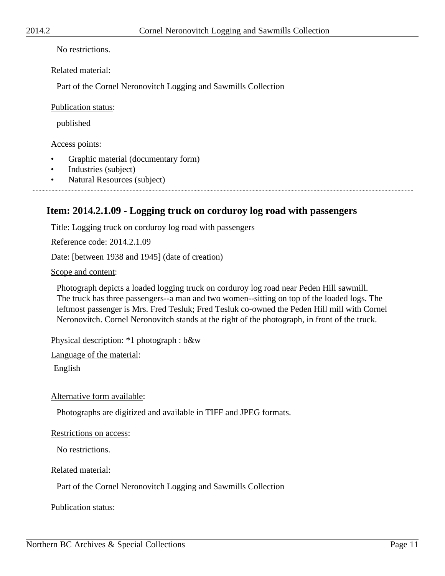No restrictions.

Related material:

Part of the Cornel Neronovitch Logging and Sawmills Collection

Publication status:

published

Access points:

- Graphic material (documentary form)
- Industries (subject)
- Natural Resources (subject)

# **Item: 2014.2.1.09 - Logging truck on corduroy log road with passengers**

Title: Logging truck on corduroy log road with passengers

Reference code: 2014.2.1.09

Date: [between 1938 and 1945] (date of creation)

Scope and content:

Photograph depicts a loaded logging truck on corduroy log road near Peden Hill sawmill. The truck has three passengers--a man and two women--sitting on top of the loaded logs. The leftmost passenger is Mrs. Fred Tesluk; Fred Tesluk co-owned the Peden Hill mill with Cornel Neronovitch. Cornel Neronovitch stands at the right of the photograph, in front of the truck.

Physical description: \*1 photograph : b&w

Language of the material:

English

Alternative form available:

Photographs are digitized and available in TIFF and JPEG formats.

Restrictions on access:

No restrictions.

Related material:

Part of the Cornel Neronovitch Logging and Sawmills Collection

Publication status: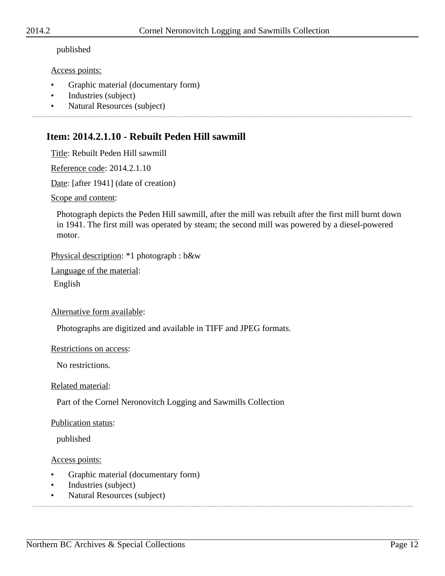#### published

#### Access points:

- Graphic material (documentary form)
- Industries (subject)
- Natural Resources (subject)

# **Item: 2014.2.1.10 - Rebuilt Peden Hill sawmill**

Title: Rebuilt Peden Hill sawmill

Reference code: 2014.2.1.10

Date: [after 1941] (date of creation)

Scope and content:

Photograph depicts the Peden Hill sawmill, after the mill was rebuilt after the first mill burnt down in 1941. The first mill was operated by steam; the second mill was powered by a diesel-powered motor.

Physical description: \*1 photograph : b&w

Language of the material:

English

Alternative form available:

Photographs are digitized and available in TIFF and JPEG formats.

#### Restrictions on access:

No restrictions.

Related material:

Part of the Cornel Neronovitch Logging and Sawmills Collection

#### Publication status:

published

Access points:

- Graphic material (documentary form)
- Industries (subject)
- Natural Resources (subject)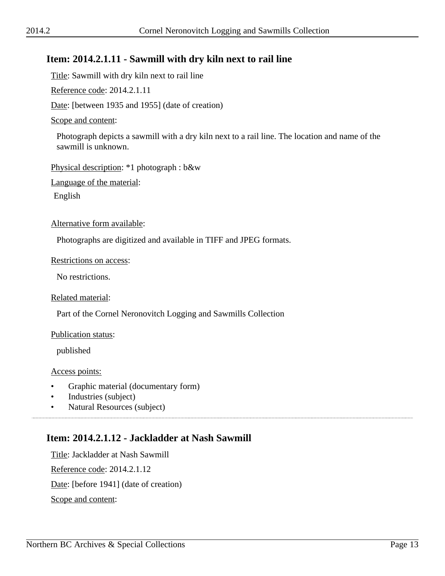# **Item: 2014.2.1.11 - Sawmill with dry kiln next to rail line**

Title: Sawmill with dry kiln next to rail line

Reference code: 2014.2.1.11

Date: [between 1935 and 1955] (date of creation)

#### Scope and content:

Photograph depicts a sawmill with a dry kiln next to a rail line. The location and name of the sawmill is unknown.

Physical description: \*1 photograph : b&w

Language of the material:

English

Alternative form available:

Photographs are digitized and available in TIFF and JPEG formats.

#### Restrictions on access:

No restrictions.

Related material:

Part of the Cornel Neronovitch Logging and Sawmills Collection

#### Publication status:

published

Access points:

- Graphic material (documentary form)
- Industries (subject)
- Natural Resources (subject)

# **Item: 2014.2.1.12 - Jackladder at Nash Sawmill**

Title: Jackladder at Nash Sawmill Reference code: 2014.2.1.12 Date: [before 1941] (date of creation) Scope and content: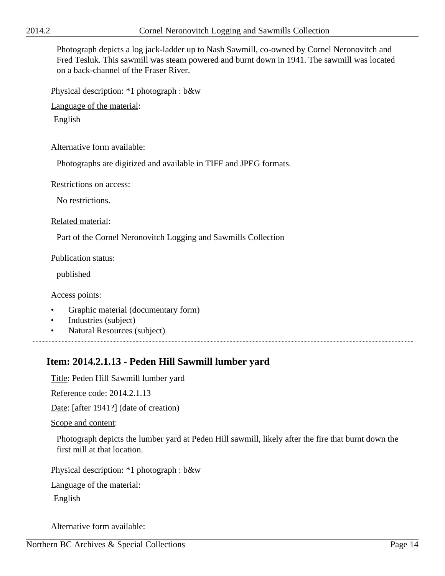Photograph depicts a log jack-ladder up to Nash Sawmill, co-owned by Cornel Neronovitch and Fred Tesluk. This sawmill was steam powered and burnt down in 1941. The sawmill was located on a back-channel of the Fraser River.

Physical description: \*1 photograph : b&w

Language of the material:

English

#### Alternative form available:

Photographs are digitized and available in TIFF and JPEG formats.

#### Restrictions on access:

No restrictions.

#### Related material:

Part of the Cornel Neronovitch Logging and Sawmills Collection

#### Publication status:

published

#### Access points:

- Graphic material (documentary form)
- Industries (subject)
- Natural Resources (subject)

# **Item: 2014.2.1.13 - Peden Hill Sawmill lumber yard**

Title: Peden Hill Sawmill lumber yard

Reference code: 2014.2.1.13

Date: [after 1941?] (date of creation)

#### Scope and content:

Photograph depicts the lumber yard at Peden Hill sawmill, likely after the fire that burnt down the first mill at that location.

Physical description: \*1 photograph : b&w

Language of the material:

English

Alternative form available: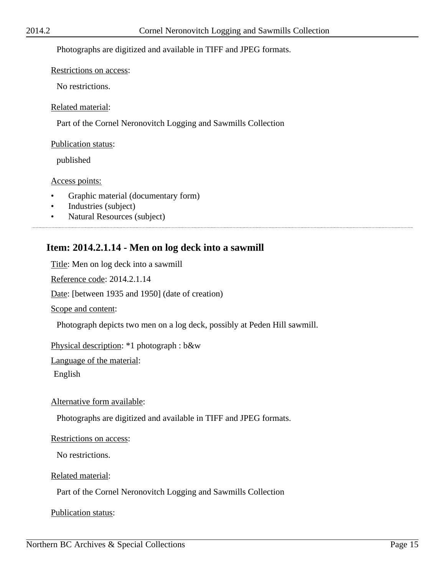#### Photographs are digitized and available in TIFF and JPEG formats.

#### Restrictions on access:

No restrictions.

#### Related material:

Part of the Cornel Neronovitch Logging and Sawmills Collection

#### Publication status:

published

#### Access points:

- Graphic material (documentary form)
- Industries (subject)
- Natural Resources (subject)

# **Item: 2014.2.1.14 - Men on log deck into a sawmill**

Title: Men on log deck into a sawmill Reference code: 2014.2.1.14 Date: [between 1935 and 1950] (date of creation) Scope and content: Photograph depicts two men on a log deck, possibly at Peden Hill sawmill. Physical description: \*1 photograph : b&w Language of the material:

English

#### Alternative form available:

Photographs are digitized and available in TIFF and JPEG formats.

#### Restrictions on access:

No restrictions.

#### Related material:

Part of the Cornel Neronovitch Logging and Sawmills Collection

Publication status: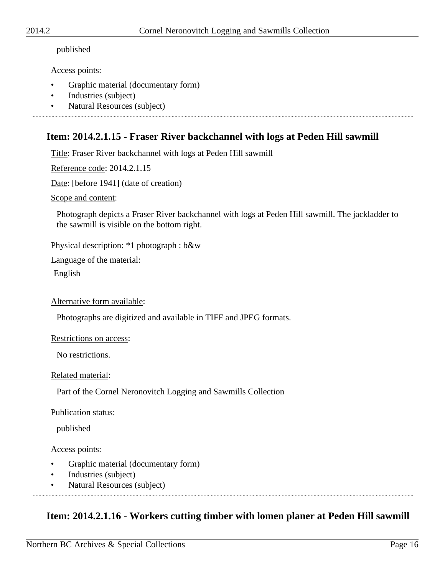#### published

#### Access points:

- Graphic material (documentary form)
- Industries (subject)
- Natural Resources (subject)

# **Item: 2014.2.1.15 - Fraser River backchannel with logs at Peden Hill sawmill**

Title: Fraser River backchannel with logs at Peden Hill sawmill

Reference code: 2014.2.1.15

Date: [before 1941] (date of creation)

Scope and content:

Photograph depicts a Fraser River backchannel with logs at Peden Hill sawmill. The jackladder to the sawmill is visible on the bottom right.

Physical description: \*1 photograph : b&w

Language of the material:

English

Alternative form available:

Photographs are digitized and available in TIFF and JPEG formats.

#### Restrictions on access:

No restrictions.

#### Related material:

Part of the Cornel Neronovitch Logging and Sawmills Collection

#### Publication status:

published

#### Access points:

- Graphic material (documentary form)
- Industries (subject)
- Natural Resources (subject)

# **Item: 2014.2.1.16 - Workers cutting timber with lomen planer at Peden Hill sawmill**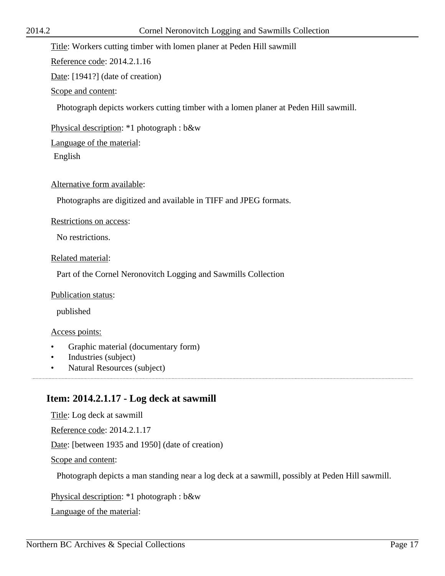#### Title: Workers cutting timber with lomen planer at Peden Hill sawmill

Reference code: 2014.2.1.16

Date: [1941?] (date of creation)

Scope and content:

Photograph depicts workers cutting timber with a lomen planer at Peden Hill sawmill.

Physical description: \*1 photograph : b&w

Language of the material:

English

Alternative form available:

Photographs are digitized and available in TIFF and JPEG formats.

Restrictions on access:

No restrictions.

Related material:

Part of the Cornel Neronovitch Logging and Sawmills Collection

Publication status:

published

Access points:

- Graphic material (documentary form)
- Industries (subject)
- Natural Resources (subject)

# **Item: 2014.2.1.17 - Log deck at sawmill**

Title: Log deck at sawmill

Reference code: 2014.2.1.17

Date: [between 1935 and 1950] (date of creation)

Scope and content:

Photograph depicts a man standing near a log deck at a sawmill, possibly at Peden Hill sawmill.

Physical description: \*1 photograph : b&w

Language of the material: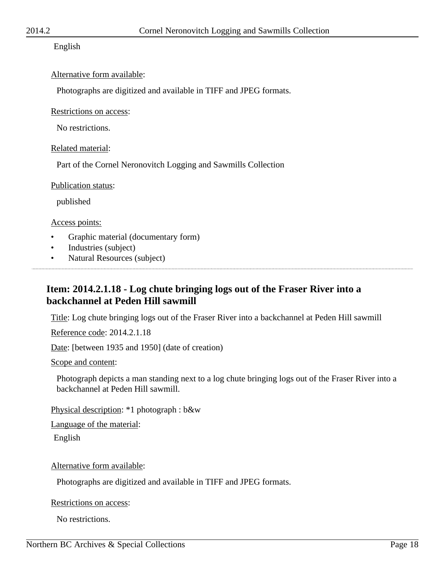#### English

#### Alternative form available:

Photographs are digitized and available in TIFF and JPEG formats.

Restrictions on access:

No restrictions.

Related material:

Part of the Cornel Neronovitch Logging and Sawmills Collection

Publication status:

published

Access points:

- Graphic material (documentary form)
- Industries (subject)

• Natural Resources (subject)

# **Item: 2014.2.1.18 - Log chute bringing logs out of the Fraser River into a backchannel at Peden Hill sawmill**

Title: Log chute bringing logs out of the Fraser River into a backchannel at Peden Hill sawmill

Reference code: 2014.2.1.18

Date: [between 1935 and 1950] (date of creation)

Scope and content:

Photograph depicts a man standing next to a log chute bringing logs out of the Fraser River into a backchannel at Peden Hill sawmill.

Physical description: \*1 photograph : b&w

Language of the material:

English

Alternative form available:

Photographs are digitized and available in TIFF and JPEG formats.

Restrictions on access:

No restrictions.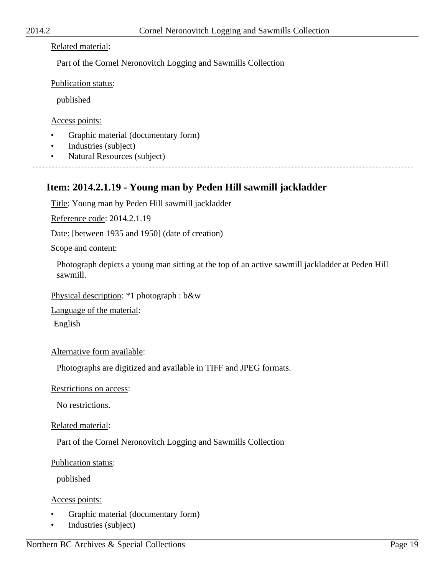#### Related material:

Part of the Cornel Neronovitch Logging and Sawmills Collection

Publication status:

published

#### Access points:

- Graphic material (documentary form)
- Industries (subject)
- Natural Resources (subject)

# **Item: 2014.2.1.19 - Young man by Peden Hill sawmill jackladder**

Title: Young man by Peden Hill sawmill jackladder

Reference code: 2014.2.1.19

Date: [between 1935 and 1950] (date of creation)

Scope and content:

Photograph depicts a young man sitting at the top of an active sawmill jackladder at Peden Hill sawmill.

Physical description: \*1 photograph : b&w

Language of the material:

English

Alternative form available:

Photographs are digitized and available in TIFF and JPEG formats.

Restrictions on access:

No restrictions.

Related material:

Part of the Cornel Neronovitch Logging and Sawmills Collection

Publication status:

published

Access points:

- Graphic material (documentary form)
- Industries (subject)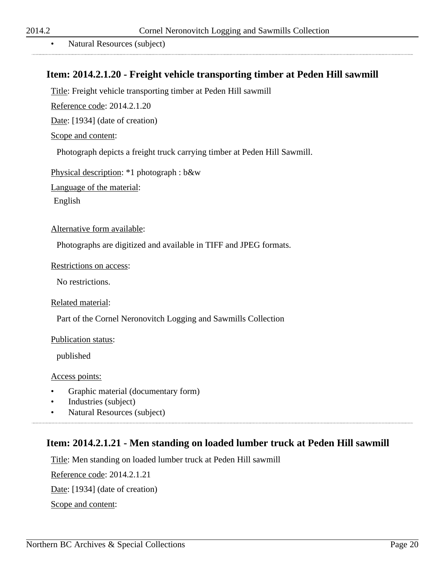• Natural Resources (subject)

# **Item: 2014.2.1.20 - Freight vehicle transporting timber at Peden Hill sawmill**

Title: Freight vehicle transporting timber at Peden Hill sawmill

Reference code: 2014.2.1.20

Date: [1934] (date of creation)

#### Scope and content:

Photograph depicts a freight truck carrying timber at Peden Hill Sawmill.

Physical description: \*1 photograph : b&w

Language of the material:

English

#### Alternative form available:

Photographs are digitized and available in TIFF and JPEG formats.

#### Restrictions on access:

No restrictions.

Related material:

Part of the Cornel Neronovitch Logging and Sawmills Collection

#### Publication status:

published

#### Access points:

- Graphic material (documentary form)
- Industries (subject)

• Natural Resources (subject)

# **Item: 2014.2.1.21 - Men standing on loaded lumber truck at Peden Hill sawmill**

Title: Men standing on loaded lumber truck at Peden Hill sawmill

Reference code: 2014.2.1.21

Date: [1934] (date of creation)

Scope and content: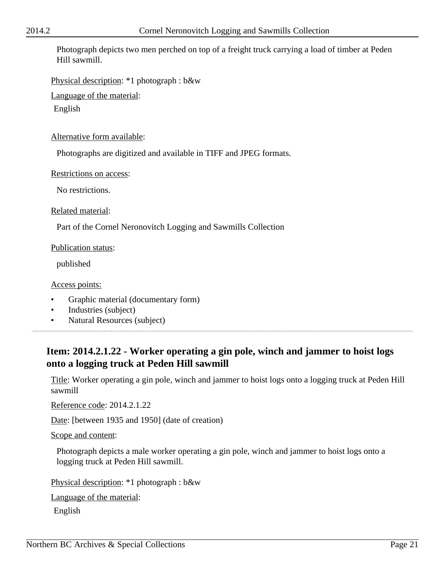Photograph depicts two men perched on top of a freight truck carrying a load of timber at Peden Hill sawmill.

Physical description: \*1 photograph : b&w

Language of the material:

English

Alternative form available:

Photographs are digitized and available in TIFF and JPEG formats.

Restrictions on access:

No restrictions.

Related material:

Part of the Cornel Neronovitch Logging and Sawmills Collection

Publication status:

published

Access points:

- Graphic material (documentary form)
- Industries (subject)

• Natural Resources (subject)

# **Item: 2014.2.1.22 - Worker operating a gin pole, winch and jammer to hoist logs onto a logging truck at Peden Hill sawmill**

Title: Worker operating a gin pole, winch and jammer to hoist logs onto a logging truck at Peden Hill sawmill

Reference code: 2014.2.1.22

Date: [between 1935 and 1950] (date of creation)

Scope and content:

Photograph depicts a male worker operating a gin pole, winch and jammer to hoist logs onto a logging truck at Peden Hill sawmill.

Physical description: \*1 photograph : b&w

Language of the material:

English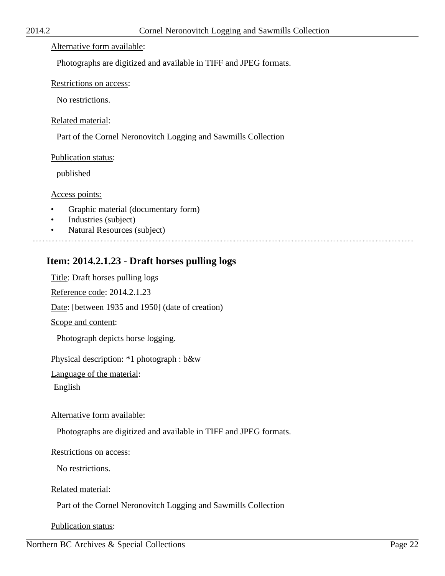#### Alternative form available:

Photographs are digitized and available in TIFF and JPEG formats.

#### Restrictions on access:

No restrictions.

#### Related material:

Part of the Cornel Neronovitch Logging and Sawmills Collection

#### Publication status:

published

#### Access points:

- Graphic material (documentary form)
- Industries (subject)
- Natural Resources (subject)

# **Item: 2014.2.1.23 - Draft horses pulling logs**

Title: Draft horses pulling logs

Reference code: 2014.2.1.23

Date: [between 1935 and 1950] (date of creation)

Scope and content:

Photograph depicts horse logging.

Physical description: \*1 photograph : b&w

Language of the material:

English

#### Alternative form available:

Photographs are digitized and available in TIFF and JPEG formats.

#### Restrictions on access:

No restrictions.

#### Related material:

Part of the Cornel Neronovitch Logging and Sawmills Collection

Publication status: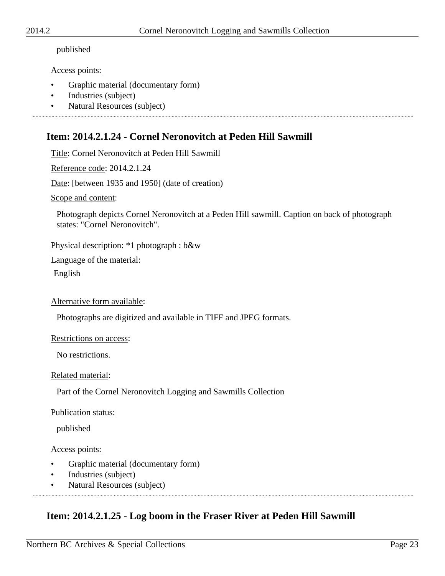#### published

#### Access points:

• Graphic material (documentary form)

- Industries (subject)
- Natural Resources (subject)

# **Item: 2014.2.1.24 - Cornel Neronovitch at Peden Hill Sawmill**

Title: Cornel Neronovitch at Peden Hill Sawmill

Reference code: 2014.2.1.24

Date: [between 1935 and 1950] (date of creation)

Scope and content:

Photograph depicts Cornel Neronovitch at a Peden Hill sawmill. Caption on back of photograph states: "Cornel Neronovitch".

Physical description: \*1 photograph : b&w

Language of the material:

English

Alternative form available:

Photographs are digitized and available in TIFF and JPEG formats.

#### Restrictions on access:

No restrictions.

#### Related material:

Part of the Cornel Neronovitch Logging and Sawmills Collection

#### Publication status:

published

#### Access points:

- Graphic material (documentary form)
- Industries (subject)
- Natural Resources (subject)

# **Item: 2014.2.1.25 - Log boom in the Fraser River at Peden Hill Sawmill**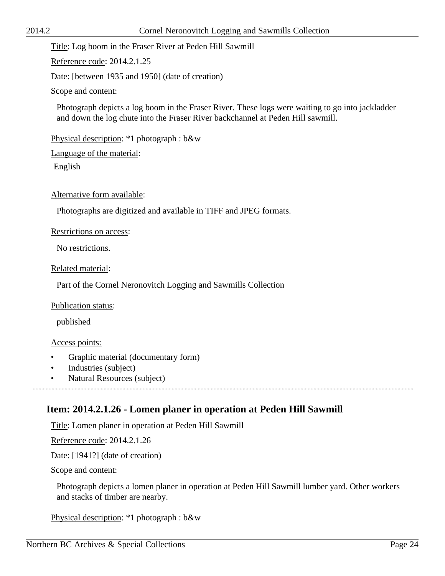Title: Log boom in the Fraser River at Peden Hill Sawmill

Reference code: 2014.2.1.25

Date: [between 1935 and 1950] (date of creation)

Scope and content:

Photograph depicts a log boom in the Fraser River. These logs were waiting to go into jackladder and down the log chute into the Fraser River backchannel at Peden Hill sawmill.

Physical description: \*1 photograph : b&w

Language of the material:

English

Alternative form available:

Photographs are digitized and available in TIFF and JPEG formats.

Restrictions on access:

No restrictions.

Related material:

Part of the Cornel Neronovitch Logging and Sawmills Collection

Publication status:

published

#### Access points:

- Graphic material (documentary form)
- Industries (subject)
- Natural Resources (subject)

### **Item: 2014.2.1.26 - Lomen planer in operation at Peden Hill Sawmill**

Title: Lomen planer in operation at Peden Hill Sawmill

Reference code: 2014.2.1.26

Date: [1941?] (date of creation)

Scope and content:

Photograph depicts a lomen planer in operation at Peden Hill Sawmill lumber yard. Other workers and stacks of timber are nearby.

Physical description: \*1 photograph : b&w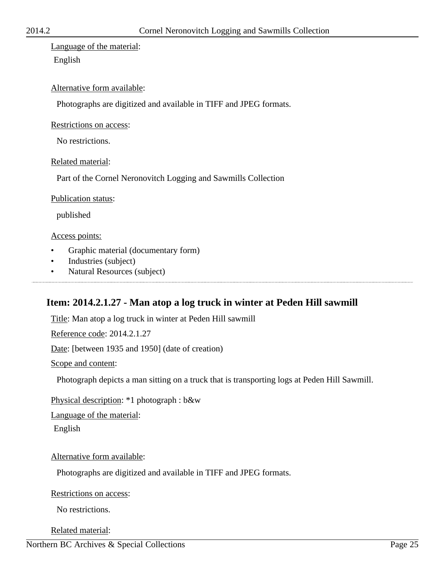Language of the material: English

#### Alternative form available:

Photographs are digitized and available in TIFF and JPEG formats.

Restrictions on access:

No restrictions.

Related material:

Part of the Cornel Neronovitch Logging and Sawmills Collection

Publication status:

published

Access points:

- Graphic material (documentary form)
- Industries (subject)
- Natural Resources (subject)

# **Item: 2014.2.1.27 - Man atop a log truck in winter at Peden Hill sawmill**

Title: Man atop a log truck in winter at Peden Hill sawmill

Reference code: 2014.2.1.27

Date: [between 1935 and 1950] (date of creation)

Scope and content:

Photograph depicts a man sitting on a truck that is transporting logs at Peden Hill Sawmill.

Physical description: \*1 photograph : b&w

Language of the material:

English

Alternative form available:

Photographs are digitized and available in TIFF and JPEG formats.

Restrictions on access:

No restrictions.

Related material: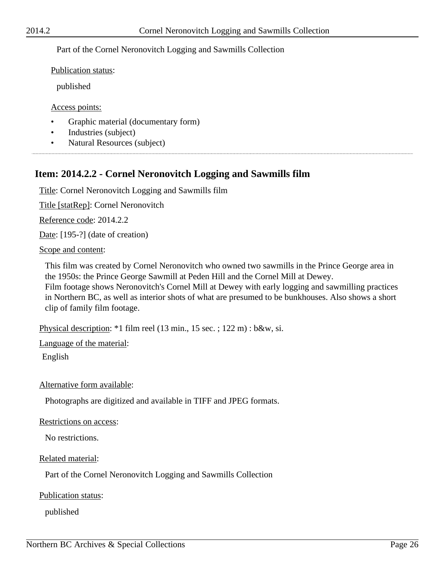#### Part of the Cornel Neronovitch Logging and Sawmills Collection

Publication status:

published

Access points:

- Graphic material (documentary form)
- Industries (subject)
- Natural Resources (subject)

# **Item: 2014.2.2 - Cornel Neronovitch Logging and Sawmills film**

Title: Cornel Neronovitch Logging and Sawmills film

Title [statRep]: Cornel Neronovitch

Reference code: 2014.2.2

Date: [195-?] (date of creation)

#### Scope and content:

This film was created by Cornel Neronovitch who owned two sawmills in the Prince George area in the 1950s: the Prince George Sawmill at Peden Hill and the Cornel Mill at Dewey. Film footage shows Neronovitch's Cornel Mill at Dewey with early logging and sawmilling practices in Northern BC, as well as interior shots of what are presumed to be bunkhouses. Also shows a short clip of family film footage.

Physical description: \*1 film reel (13 min., 15 sec. ; 122 m) : b&w, si.

Language of the material:

English

Alternative form available:

Photographs are digitized and available in TIFF and JPEG formats.

Restrictions on access:

No restrictions.

Related material:

Part of the Cornel Neronovitch Logging and Sawmills Collection

Publication status:

published